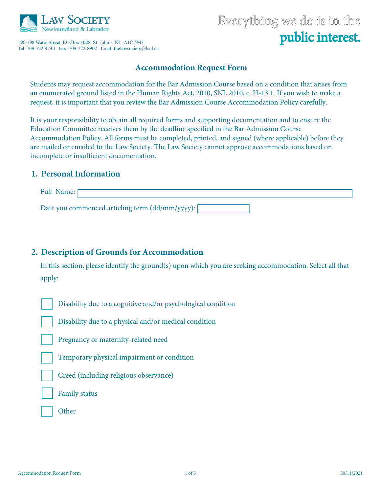

196-198 Water Street, P.O.Box 1028, St. John's, NL, A1C 5M3 

# Everything we do is in the public interest.

# **Accommodation Request Form**

Students may request accommodation for the Bar Admission Course based on a condition that arises from an enumerated ground listed in the Human Rights Act, 2010, SNL 2010, c. H-13.1. If you wish to make a request, it is important that you review the Bar Admission Course Accommodation Policy carefully.

It is your responsibility to obtain all required forms and supporting documentation and to ensure the Education Committee receives them by the deadline specified in the Bar Admission Course Accommodation Policy. All forms must be completed, printed, and signed (where applicable) before they are mailed or emailed to the Law Society. The Law Society cannot approve accommodations based on incomplete or insufficient documentation.

## **1. Personal Information**

| <b>Full Name:</b> F                               |  |  |
|---------------------------------------------------|--|--|
| Date you commenced articling term (dd/mm/yyyy): [ |  |  |

# **2. Description of Grounds for Accommodation**

In this section, please identify the ground(s) upon which you are seeking accommodation. Select all that apply:

Disability due to a cognitive and/or psychological condition

Disability due to a physical and/or medical condition

Pregnancy or maternity-related need

Temporary physical impairment or condition

Creed (including religious observance)

Family status

**Other**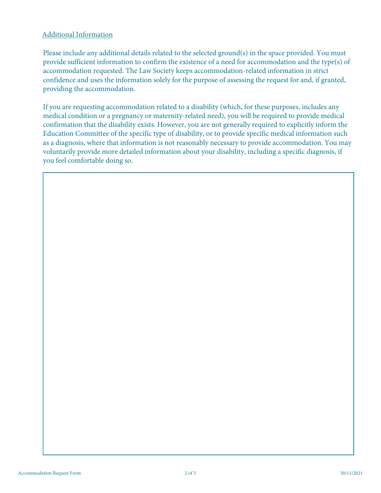#### Additional Information

Please include any additional details related to the selected ground(s) in the space provided. You must provide sufficient information to confirm the existence of a need for accommodation and the type(s) of accommodation requested. The Law Society keeps accommodation-related information in strict confidence and uses the information solely for the purpose of assessing the request for and, if granted, providing the accommodation.

If you are requesting accommodation related to a disability (which, for these purposes, includes any medical condition or a pregnancy or maternity-related need), you will be required to provide medical confirmation that the disability exists. However, you are not generally required to explicitly inform the Education Committee of the specific type of disability, or to provide specific medical information such as a diagnosis, where that information is not reasonably necessary to provide accommodation. You may voluntarily provide more detailed information about your disability, including a specific diagnosis, if you feel comfortable doing so.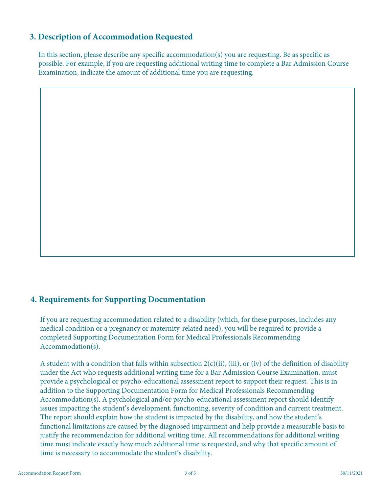# **3. Description of Accommodation Requested**

In this section, please describe any specific accommodation(s) you are requesting. Be as specific as possible. For example, if you are requesting additional writing time to complete a Bar Admission Course Examination, indicate the amount of additional time you are requesting.

## **4. Requirements for Supporting Documentation**

If you are requesting accommodation related to a disability (which, for these purposes, includes any medical condition or a pregnancy or maternity-related need), you will be required to provide a completed Supporting Documentation Form for Medical Professionals Recommending Accommodation(s).

A student with a condition that falls within subsection  $2(c)(ii)$ , (iii), or (iv) of the definition of disability under the Act who requests additional writing time for a Bar Admission Course Examination, must provide a psychological or psycho-educational assessment report to support their request. This is in addition to the Supporting Documentation Form for Medical Professionals Recommending Accommodation(s). A psychological and/or psycho-educational assessment report should identify issues impacting the student's development, functioning, severity of condition and current treatment. The report should explain how the student is impacted by the disability, and how the student's functional limitations are caused by the diagnosed impairment and help provide a measurable basis to justify the recommendation for additional writing time. All recommendations for additional writing time must indicate exactly how much additional time is requested, and why that specific amount of time is necessary to accommodate the student's disability.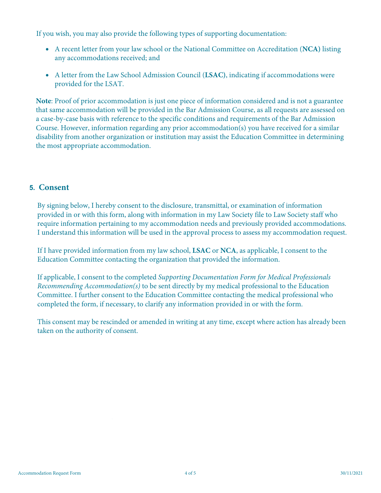If you wish, you may also provide the following types of supporting documentation:

- A recent letter from your law school or the National Committee on Accreditation (**NCA)** listing any accommodations received; and
- A letter from the Law School Admission Council (**LSAC)**, indicating if accommodations were provided for the LSAT.

**Note**: Proof of prior accommodation is just one piece of information considered and is not a guarantee that same accommodation will be provided in the Bar Admission Course, as all requests are assessed on a case-by-case basis with reference to the specific conditions and requirements of the Bar Admission Course. However, information regarding any prior accommodation(s) you have received for a similar disability from another organization or institution may assist the Education Committee in determining the most appropriate accommodation.

## **5. Consent**

By signing below, I hereby consent to the disclosure, transmittal, or examination of information provided in or with this form, along with information in my Law Society file to Law Society staff who require information pertaining to my accommodation needs and previously provided accommodations. I understand this information will be used in the approval process to assess my accommodation request.

If I have provided information from my law school, **LSAC** or **NCA**, as applicable, I consent to the Education Committee contacting the organization that provided the information.

If applicable, I consent to the completed *Supporting Documentation Form for Medical Professionals Recommending Accommodation(s)* to be sent directly by my medical professional to the Education Committee. I further consent to the Education Committee contacting the medical professional who completed the form, if necessary, to clarify any information provided in or with the form.

This consent may be rescinded or amended in writing at any time, except where action has already been taken on the authority of consent.